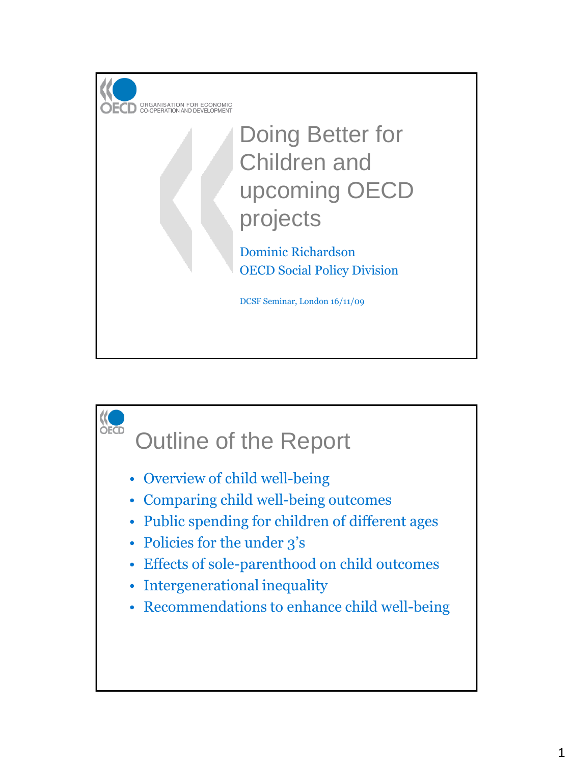

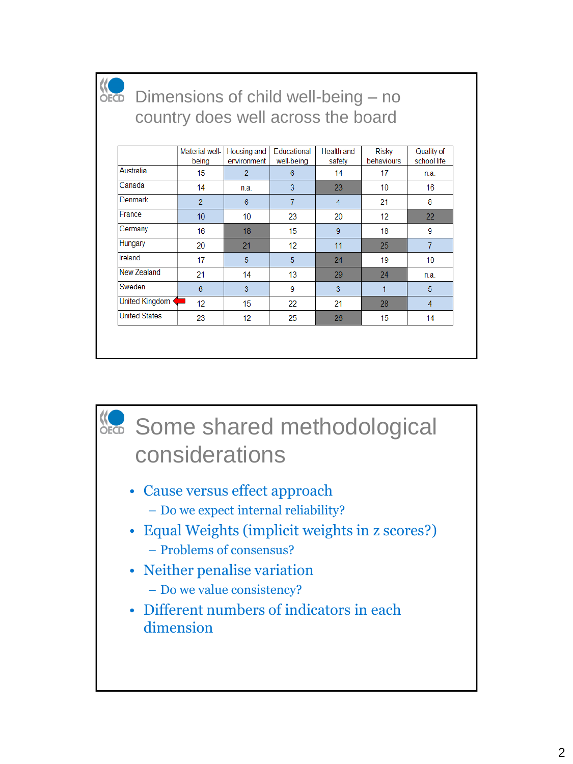

#### Dimensions of child well-being – no country does well across the board

|                       | Material well-<br>being | Housing and<br>environment | <b>Educational</b><br>well-being | <b>Health and</b><br>safety | Risky<br>behaviours | Quality of<br>school life |
|-----------------------|-------------------------|----------------------------|----------------------------------|-----------------------------|---------------------|---------------------------|
| Australia             | 15                      | $\overline{2}$             | 6                                | 14                          | 17                  | n.a.                      |
| Canada                | 14                      | n.a.                       | 3                                | 23                          | 10                  | 16                        |
| Denmark               | $\overline{2}$          | 6                          | 7                                | 4                           | 21                  | 8                         |
| France                | 10                      | 10                         | 23                               | 20                          | 12                  | 22                        |
| Germany               | 16                      | 18                         | 15                               | 9                           | 18                  | 9                         |
| Hungary               | 20                      | 21                         | 12                               | 11                          | 25                  | $\overline{7}$            |
| Ireland               | 17                      | 5                          | 5                                | 24                          | 19                  | 10                        |
| New Zealand           | 21                      | 14                         | 13                               | 29                          | 24                  | n.a.                      |
| Sweden                | 6                       | 3                          | 9                                | 3                           | 1                   | 5                         |
| <b>United Kingdom</b> | 12                      | 15                         | 22                               | 21                          | 28                  | 4                         |
| <b>United States</b>  | 23                      | 12                         | 25                               | 26                          | 15                  | 14                        |

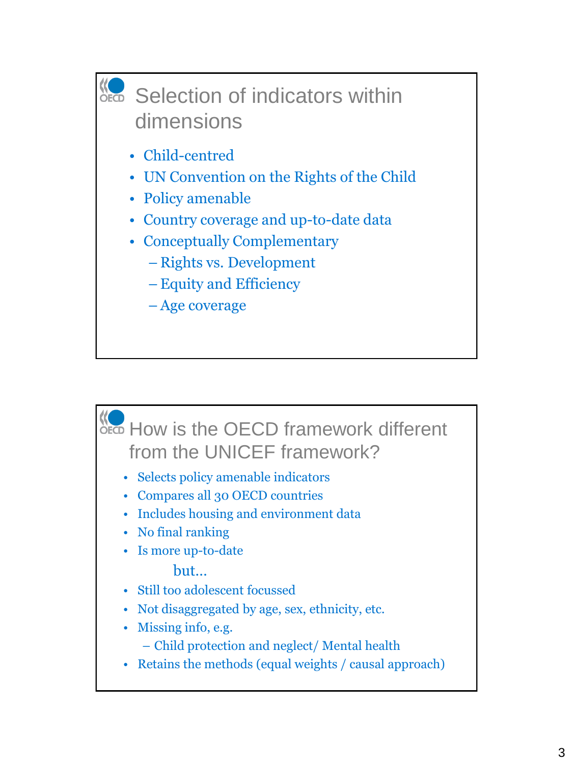

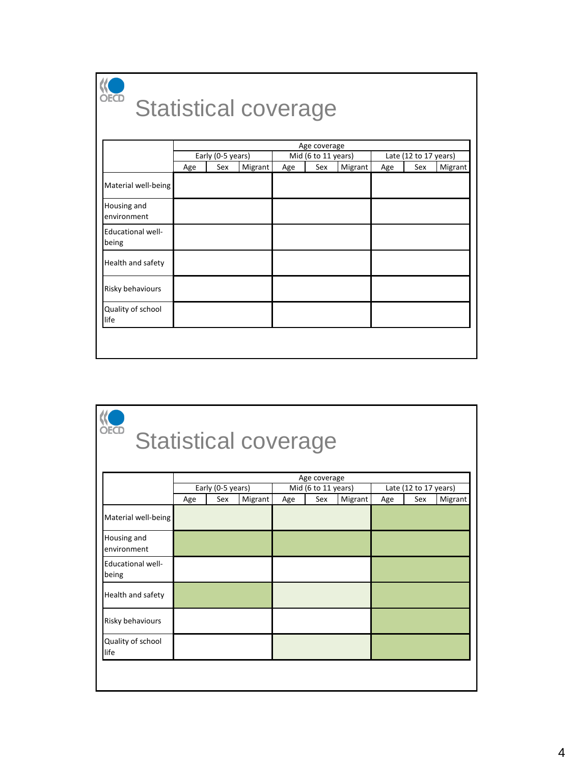

### Statistical coverage

|                                   |     |                   |         |                     | Age coverage |         |                       |     |         |
|-----------------------------------|-----|-------------------|---------|---------------------|--------------|---------|-----------------------|-----|---------|
|                                   |     | Early (0-5 years) |         | Mid (6 to 11 years) |              |         | Late (12 to 17 years) |     |         |
|                                   | Age | Sex               | Migrant | Age                 | Sex          | Migrant | Age                   | Sex | Migrant |
| Material well-being               |     |                   |         |                     |              |         |                       |     |         |
| Housing and<br>environment        |     |                   |         |                     |              |         |                       |     |         |
| <b>Educational well-</b><br>being |     |                   |         |                     |              |         |                       |     |         |
| Health and safety                 |     |                   |         |                     |              |         |                       |     |         |
| Risky behaviours                  |     |                   |         |                     |              |         |                       |     |         |
| Quality of school<br>life         |     |                   |         |                     |              |         |                       |     |         |

## **KO**<br>Statistical coverage

|                                   |                   | Age coverage |         |     |                     |         |     |                       |         |  |
|-----------------------------------|-------------------|--------------|---------|-----|---------------------|---------|-----|-----------------------|---------|--|
|                                   | Early (0-5 years) |              |         |     | Mid (6 to 11 years) |         |     | Late (12 to 17 years) |         |  |
|                                   | Age               | Sex          | Migrant | Age | Sex                 | Migrant | Age | Sex                   | Migrant |  |
| Material well-being               |                   |              |         |     |                     |         |     |                       |         |  |
| Housing and<br>environment        |                   |              |         |     |                     |         |     |                       |         |  |
| <b>Educational well-</b><br>being |                   |              |         |     |                     |         |     |                       |         |  |
| Health and safety                 |                   |              |         |     |                     |         |     |                       |         |  |
| Risky behaviours                  |                   |              |         |     |                     |         |     |                       |         |  |
| Quality of school<br>life         |                   |              |         |     |                     |         |     |                       |         |  |
|                                   |                   |              |         |     |                     |         |     |                       |         |  |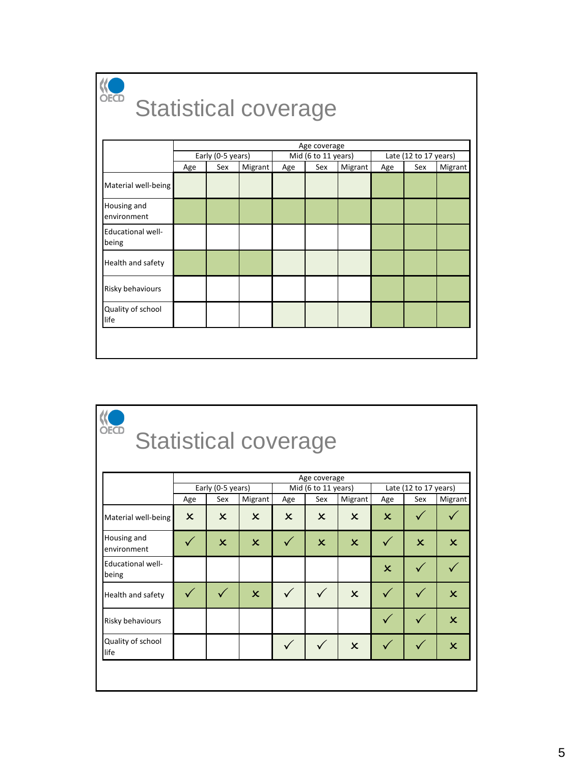

### Statistical coverage

|                                   |     | Age coverage      |         |     |                     |         |     |                       |         |  |
|-----------------------------------|-----|-------------------|---------|-----|---------------------|---------|-----|-----------------------|---------|--|
|                                   |     | Early (0-5 years) |         |     | Mid (6 to 11 years) |         |     | Late (12 to 17 years) |         |  |
|                                   | Age | Sex               | Migrant | Age | Sex                 | Migrant | Age | Sex                   | Migrant |  |
| Material well-being               |     |                   |         |     |                     |         |     |                       |         |  |
| Housing and<br>environment        |     |                   |         |     |                     |         |     |                       |         |  |
| <b>Educational well-</b><br>being |     |                   |         |     |                     |         |     |                       |         |  |
| Health and safety                 |     |                   |         |     |                     |         |     |                       |         |  |
| Risky behaviours                  |     |                   |         |     |                     |         |     |                       |         |  |
| Quality of school<br>life         |     |                   |         |     |                     |         |     |                       |         |  |

# **KO**<br>Statistical coverage

|                                   | Age coverage              |                           |                           |                           |                           |                           |                           |                           |                           |
|-----------------------------------|---------------------------|---------------------------|---------------------------|---------------------------|---------------------------|---------------------------|---------------------------|---------------------------|---------------------------|
|                                   |                           | Early (0-5 years)         |                           | Mid (6 to 11 years)       |                           |                           | Late (12 to 17 years)     |                           |                           |
|                                   | Age                       | Sex                       | <b>Migrant</b>            | Age                       | Sex                       | Migrant                   | Age                       | Sex                       | Migrant                   |
| Material well-being               | $\boldsymbol{\mathsf{x}}$ | $\boldsymbol{\mathsf{x}}$ | $\mathsf{x}$              | $\boldsymbol{\mathsf{x}}$ | $\boldsymbol{\mathsf{x}}$ | $\mathsf{x}$              | $\boldsymbol{\mathsf{x}}$ |                           |                           |
| Housing and<br>environment        |                           | $\overline{\mathsf{x}}$   | $\mathsf{x}$              |                           | $\mathsf{x}$              | $\boldsymbol{\mathsf{x}}$ |                           | $\boldsymbol{\mathsf{x}}$ | $\boldsymbol{\mathsf{x}}$ |
| <b>Educational well-</b><br>being |                           |                           |                           |                           |                           |                           | $\boldsymbol{\mathsf{x}}$ |                           |                           |
| Health and safety                 |                           |                           | $\boldsymbol{\mathsf{x}}$ | ✓                         |                           | $\boldsymbol{\mathsf{x}}$ |                           |                           | $\mathsf{x}$              |
| Risky behaviours                  |                           |                           |                           |                           |                           |                           |                           |                           | $\mathbf x$               |
| Quality of school<br>life         |                           |                           |                           |                           |                           | $\boldsymbol{\mathsf{x}}$ |                           |                           | $\mathsf{x}$              |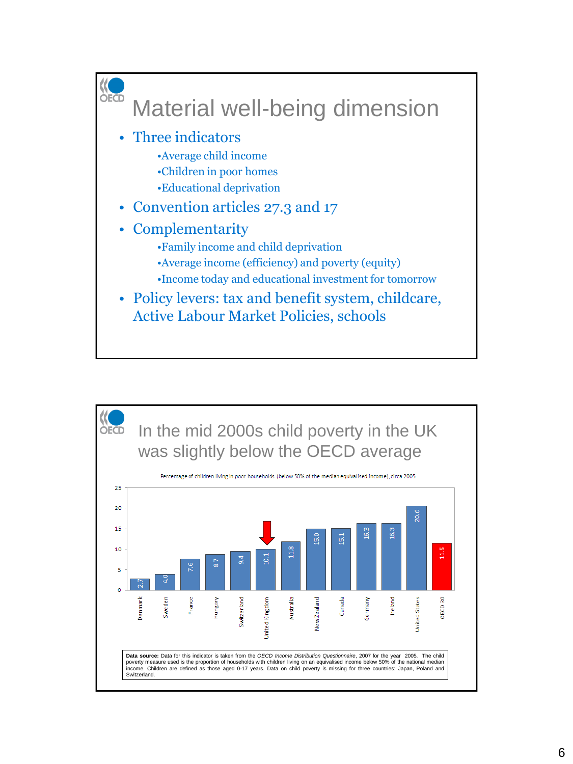

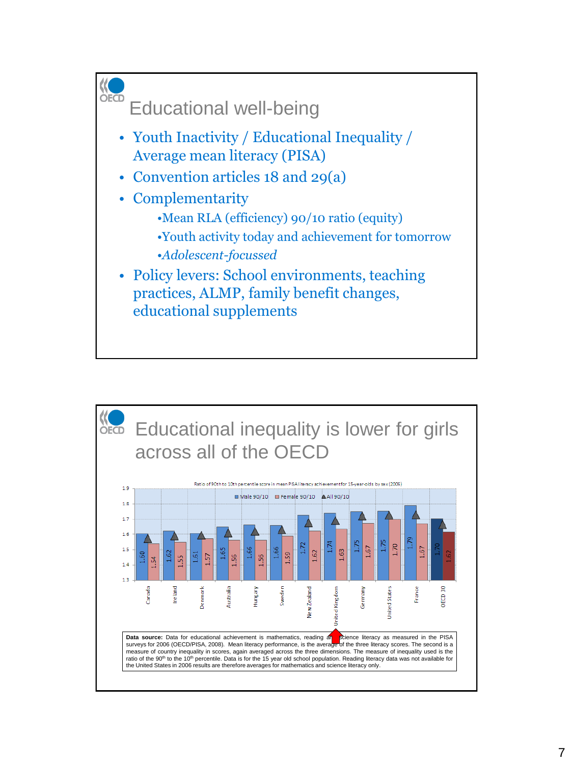

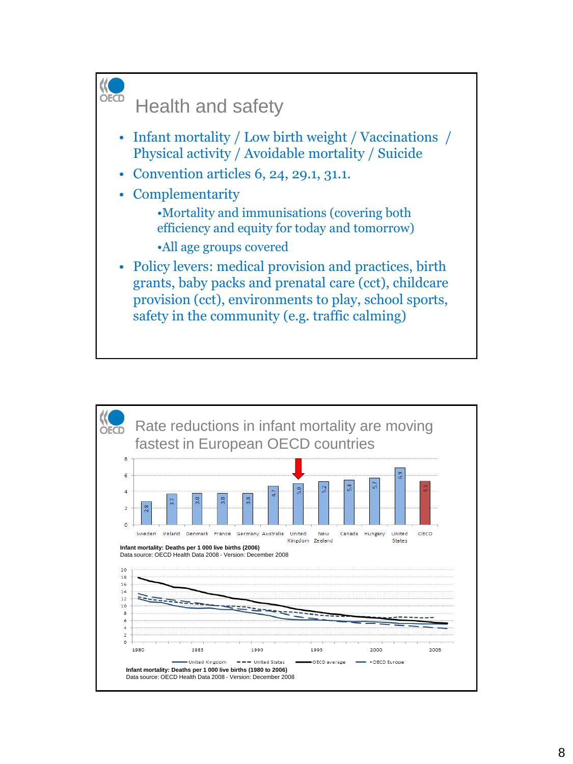

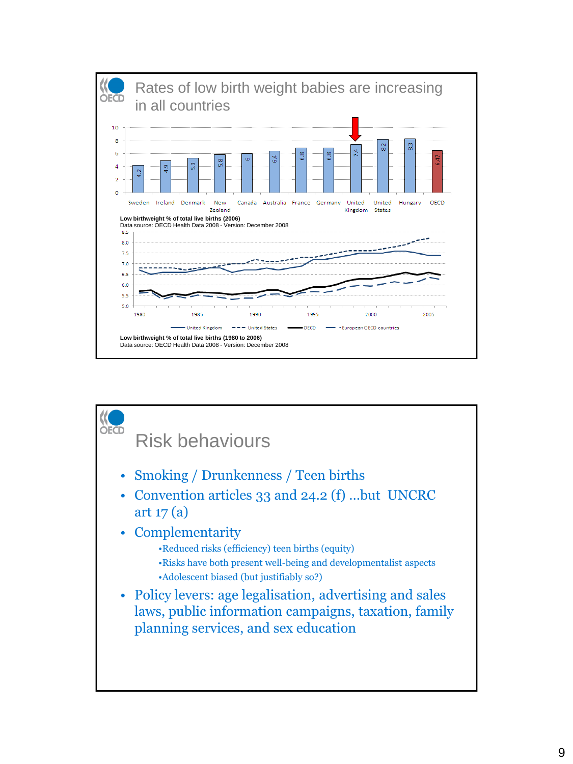

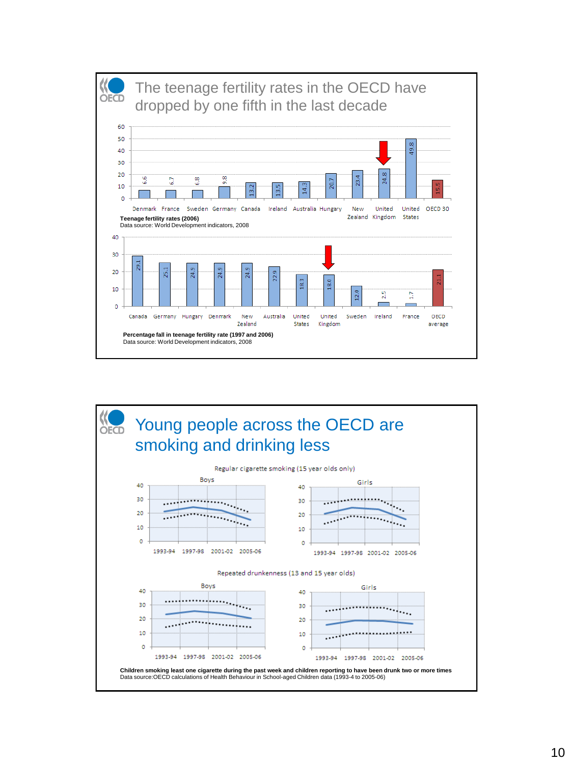

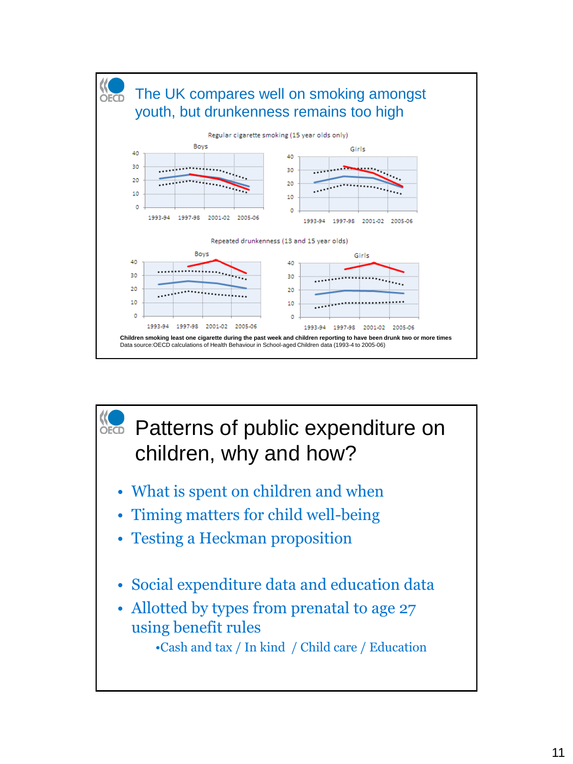

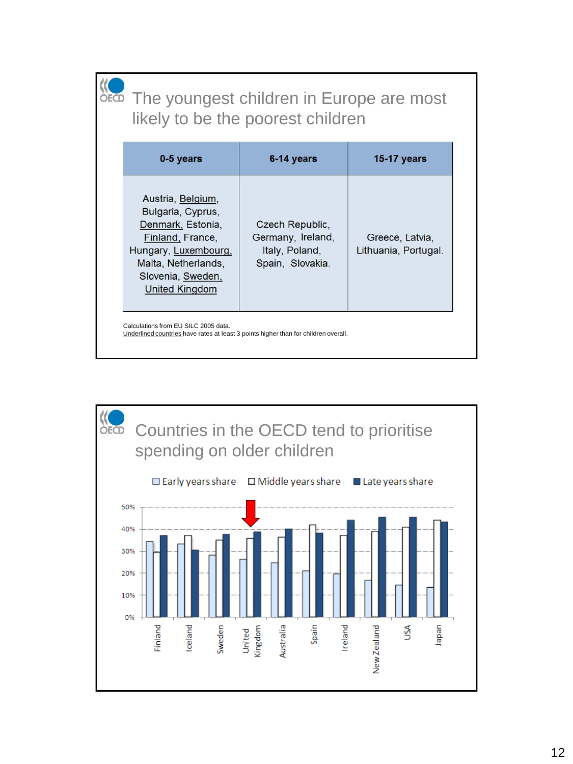#### **KO**<br>OECD The youngest children in Europe are most likely to be the poorest children

| 0-5 years                                                                                                                                                                    | 6-14 years                                                                 | <b>15-17 years</b>                      |
|------------------------------------------------------------------------------------------------------------------------------------------------------------------------------|----------------------------------------------------------------------------|-----------------------------------------|
| Austria, Belgium,<br>Bulgaria, Cyprus,<br>Denmark, Estonia,<br>Finland, France,<br>Hungary, Luxembourg,<br>Malta, Netherlands,<br>Slovenia, Sweden,<br><b>United Kingdom</b> | Czech Republic,<br>Germany, Ireland,<br>Italy, Poland,<br>Spain, Slovakia. | Greece, Latvia,<br>Lithuania, Portugal. |

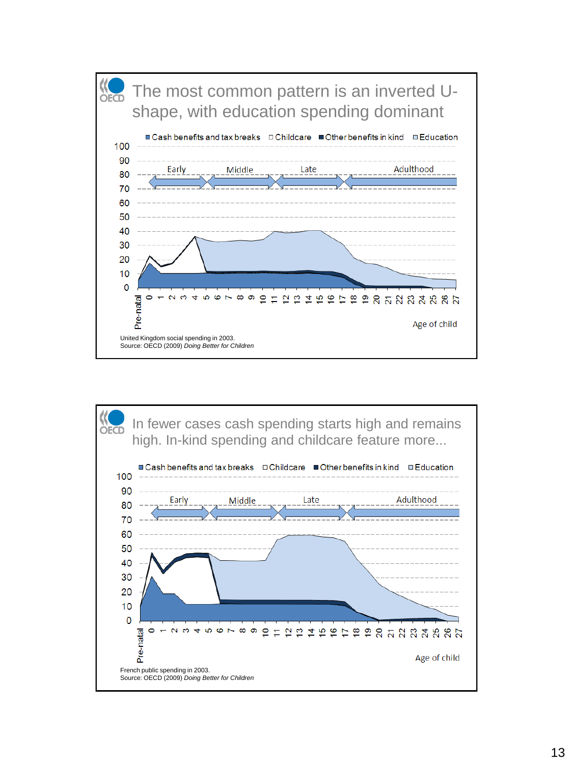

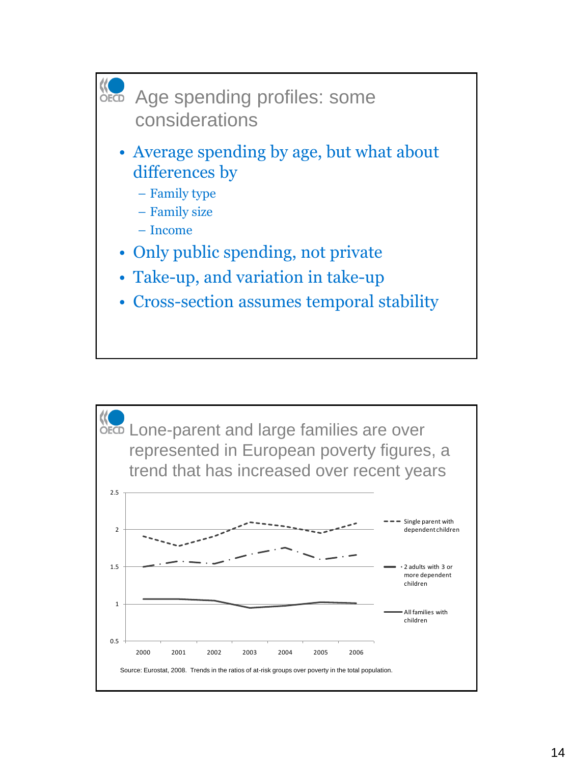

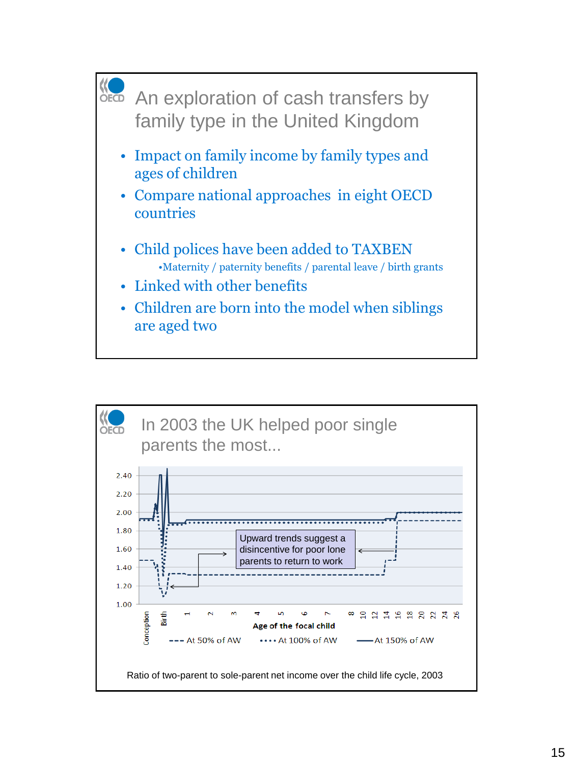

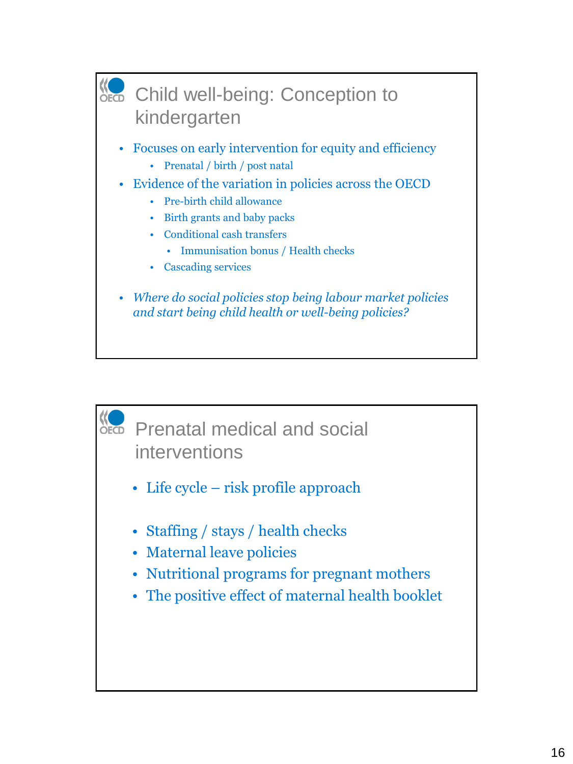

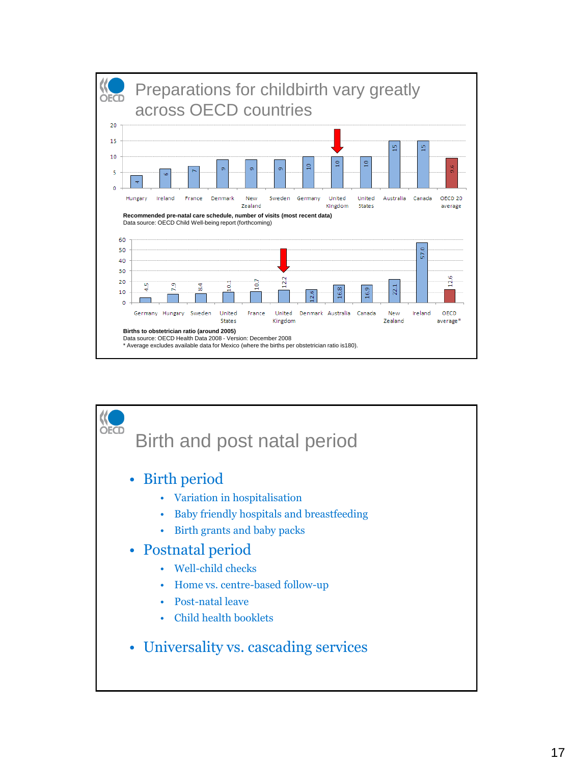

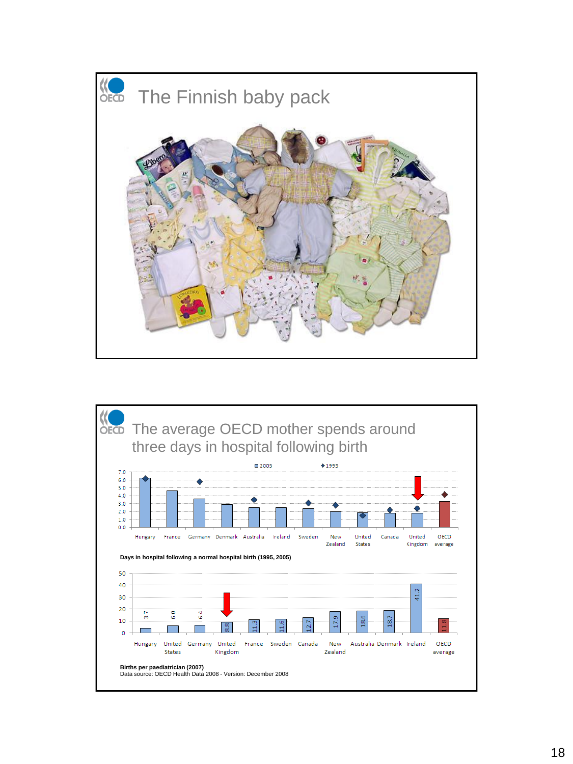

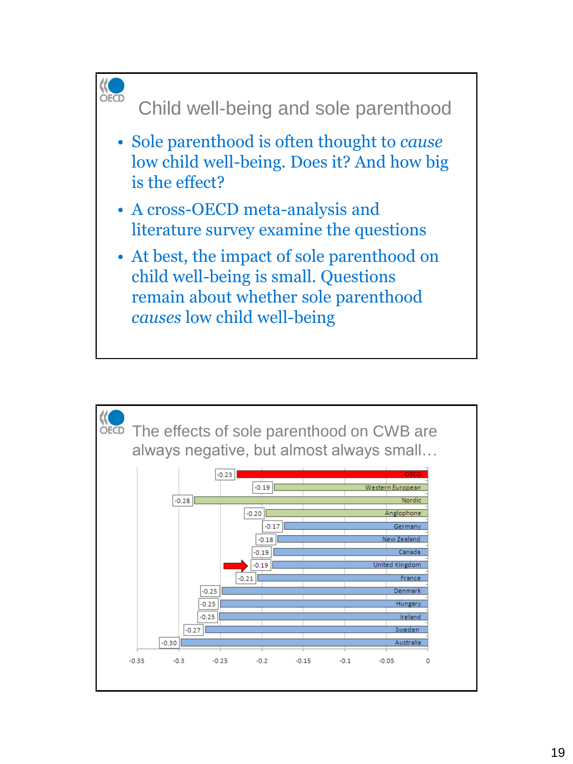

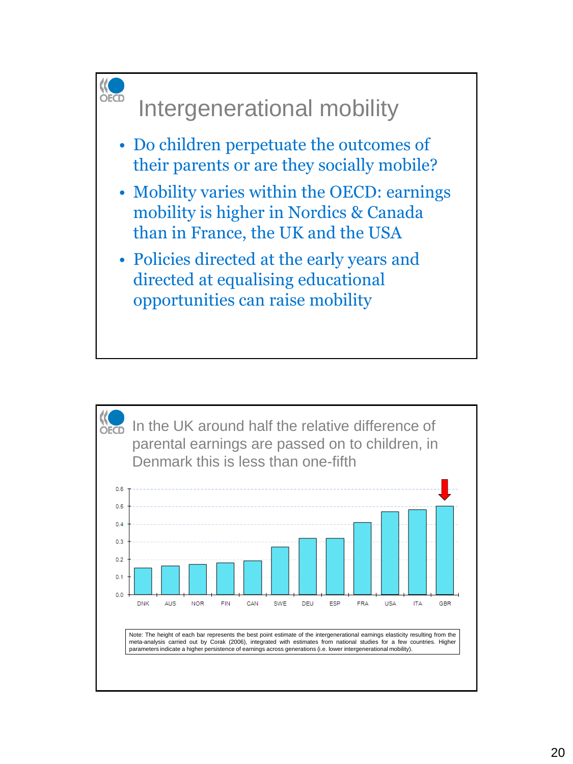

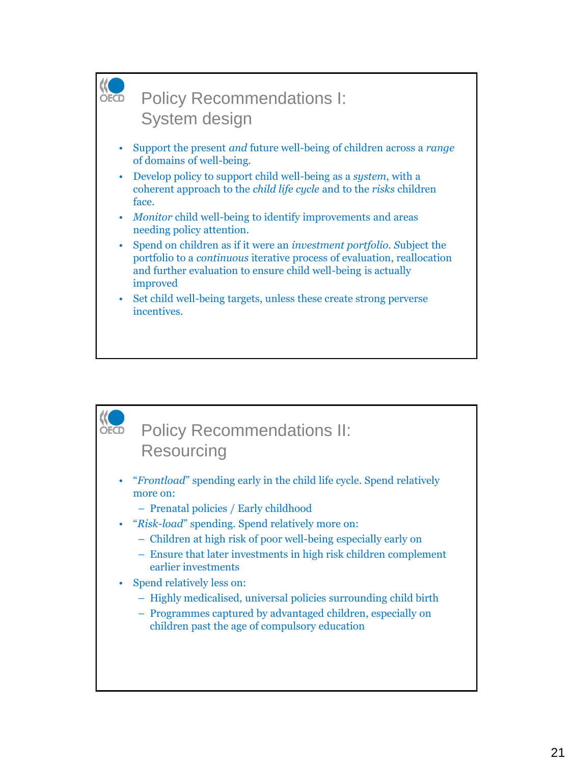

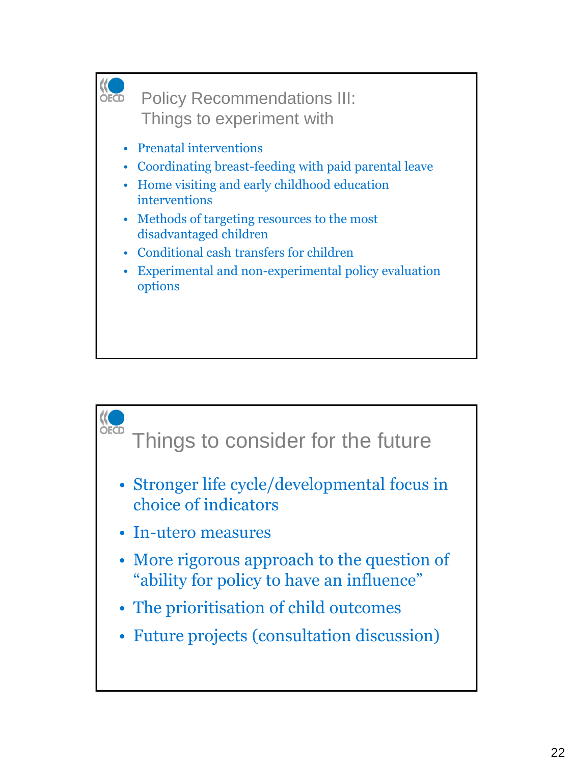

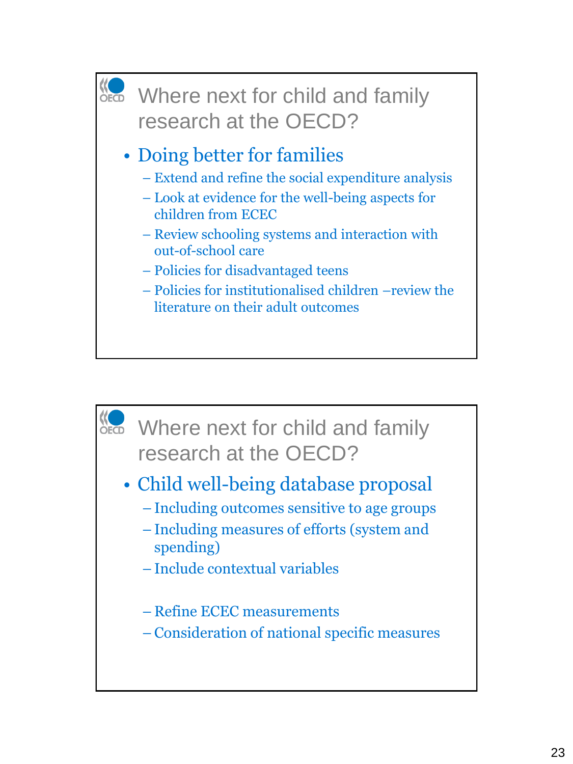